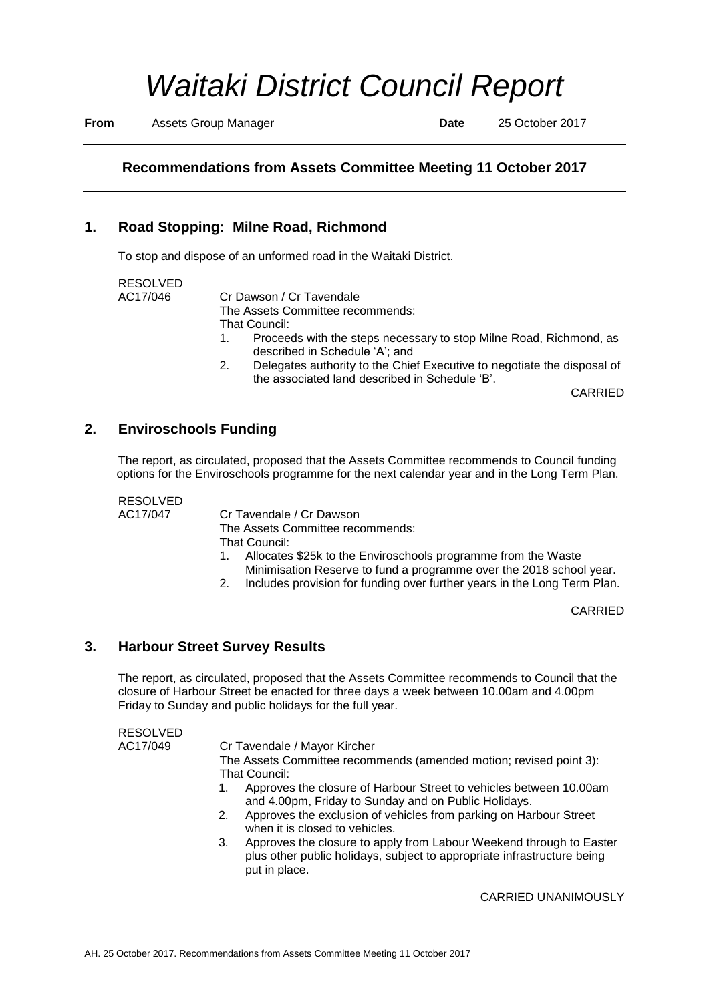# *Waitaki District Council Report*

**From** Assets Group Manager **Date** 25 October 2017

# **Recommendations from Assets Committee Meeting 11 October 2017**

## **1. Road Stopping: Milne Road, Richmond**

To stop and dispose of an unformed road in the Waitaki District.

| RESOLVED         |  |
|------------------|--|
|                  |  |
| $\Delta$ C17/046 |  |

AC17/046 Cr Dawson / Cr Tavendale The Assets Committee recommends: That Council:

- 1. Proceeds with the steps necessary to stop Milne Road, Richmond, as described in Schedule 'A'; and
- 2. Delegates authority to the Chief Executive to negotiate the disposal of the associated land described in Schedule 'B'.

CARRIED

### **2. Enviroschools Funding**

The report, as circulated, proposed that the Assets Committee recommends to Council funding options for the Enviroschools programme for the next calendar year and in the Long Term Plan.

RESOLVED

AC17/047 Cr Tavendale / Cr Dawson The Assets Committee recommends: That Council:<br>1. Allocates

- Allocates \$25k to the Enviroschools programme from the Waste Minimisation Reserve to fund a programme over the 2018 school year.
- 2. Includes provision for funding over further years in the Long Term Plan.

CARRIED

### **3. Harbour Street Survey Results**

The report, as circulated, proposed that the Assets Committee recommends to Council that the closure of Harbour Street be enacted for three days a week between 10.00am and 4.00pm Friday to Sunday and public holidays for the full year.

RESOLVED AC17/049 Cr Tavendale / Mayor Kircher The Assets Committee recommends (amended motion; revised point 3): That Council: 1. Approves the closure of Harbour Street to vehicles between 10.00am and 4.00pm, Friday to Sunday and on Public Holidays. 2. Approves the exclusion of vehicles from parking on Harbour Street when it is closed to vehicles. 3. Approves the closure to apply from Labour Weekend through to Easter plus other public holidays, subject to appropriate infrastructure being put in place.

CARRIED UNANIMOUSLY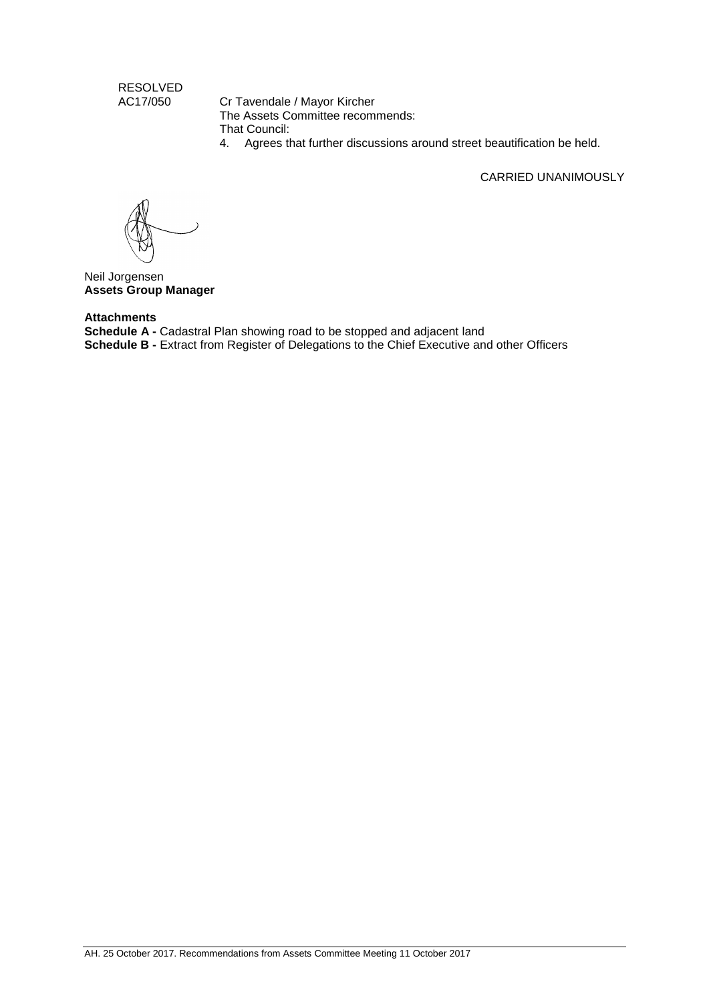RESOLVED<br>AC17/050

Cr Tavendale / Mayor Kircher The Assets Committee recommends: That Council:

4. Agrees that further discussions around street beautification be held.

CARRIED UNANIMOUSLY

Neil Jorgensen **Assets Group Manager**

#### **Attachments**

**Schedule A -** Cadastral Plan showing road to be stopped and adjacent land **Schedule B -** Extract from Register of Delegations to the Chief Executive and other Officers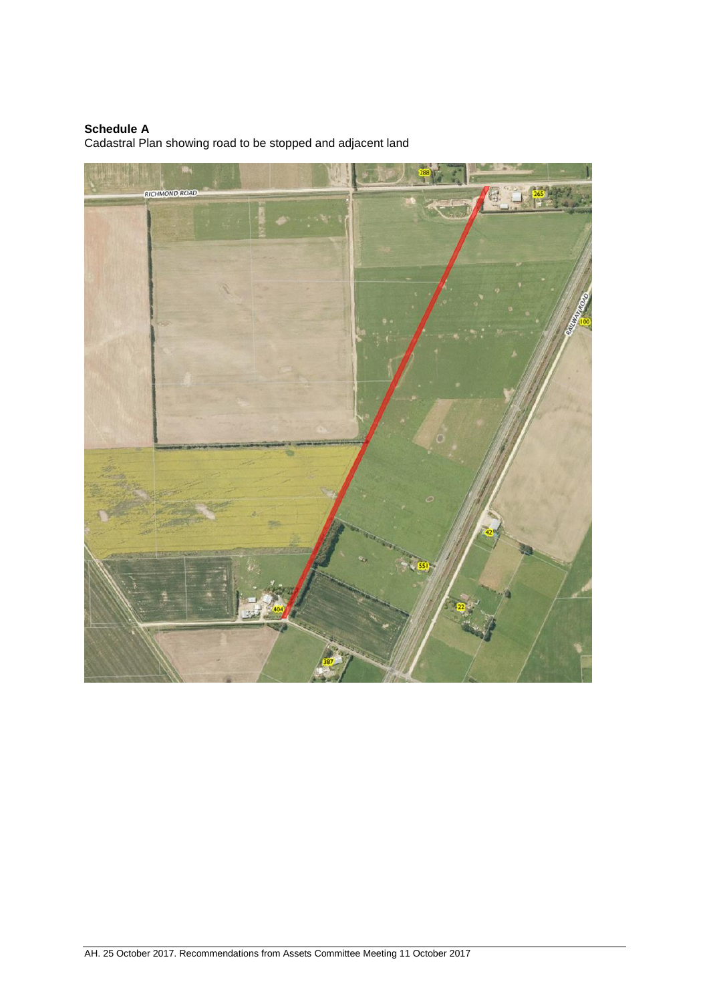#### **Schedule A**

Cadastral Plan showing road to be stopped and adjacent land